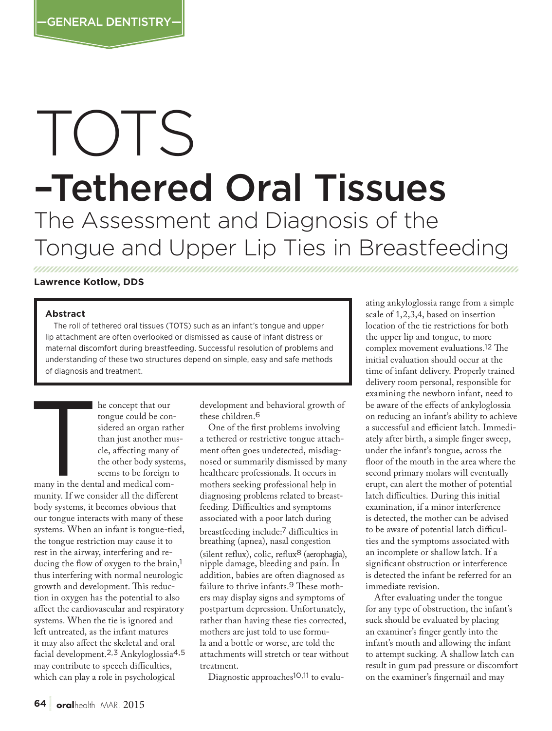# TOTS –Tethered Oral Tissues The Assessment and Diagnosis of the Tongue and Upper Lip Ties in Breastfeeding

## **Lawrence Kotlow, DDS**

#### **Abstract**

The roll of tethered oral tissues (TOTS) such as an infant's tongue and upper lip attachment are often overlooked or dismissed as cause of infant distress or maternal discomfort during breastfeeding. Successful resolution of problems and understanding of these two structures depend on simple, easy and safe methods of diagnosis and treatment.

tongue could be considered an organ rat<br>than just another my<br>cle, affecting many of<br>the other body syste<br>seems to be foreign<br>many in the dental and medical comtongue could be considered an organ rather than just another muscle, affecting many of the other body systems, seems to be foreign to many in the dental and medical community. If we consider all the different body systems, it becomes obvious that our tongue interacts with many of these systems. When an infant is tongue-tied, the tongue restriction may cause it to rest in the airway, interfering and reducing the flow of oxygen to the brain,<sup>1</sup> thus interfering with normal neurologic growth and development. This reduction in oxygen has the potential to also affect the cardiovascular and respiratory systems. When the tie is ignored and left untreated, as the infant matures it may also affect the skeletal and oral facial development.2,3 Ankyloglossia4,5 may contribute to speech difficulties, which can play a role in psychological

development and behavioral growth of these children.<sup>6</sup>

One of the first problems involving a tethered or restrictive tongue attachment often goes undetected, misdiagnosed or summarily dismissed by many healthcare professionals. It occurs in mothers seeking professional help in diagnosing problems related to breastfeeding. Difficulties and symptoms associated with a poor latch during breastfeeding include:7 difficulties in breathing (apnea), nasal congestion (silent reflux), colic, reflux8 (aerophagia), nipple damage, bleeding and pain. In addition, babies are often diagnosed as failure to thrive infants.9 These mothers may display signs and symptoms of postpartum depression. Unfortunately, rather than having these ties corrected, mothers are just told to use formula and a bottle or worse, are told the attachments will stretch or tear without treatment.

Diagnostic approaches<sup>10,11</sup> to evalu-

ating ankyloglossia range from a simple scale of 1,2,3,4, based on insertion location of the tie restrictions for both the upper lip and tongue, to more complex movement evaluations.12 The initial evaluation should occur at the time of infant delivery. Properly trained delivery room personal, responsible for examining the newborn infant, need to be aware of the effects of ankyloglossia on reducing an infant's ability to achieve a successful and efficient latch. Immediately after birth, a simple finger sweep, under the infant's tongue, across the floor of the mouth in the area where the second primary molars will eventually erupt, can alert the mother of potential latch difficulties. During this initial examination, if a minor interference is detected, the mother can be advised to be aware of potential latch difficulties and the symptoms associated with an incomplete or shallow latch. If a significant obstruction or interference is detected the infant be referred for an immediate revision.

After evaluating under the tongue for any type of obstruction, the infant's suck should be evaluated by placing an examiner's finger gently into the infant's mouth and allowing the infant to attempt sucking. A shallow latch can result in gum pad pressure or discomfort on the examiner's fingernail and may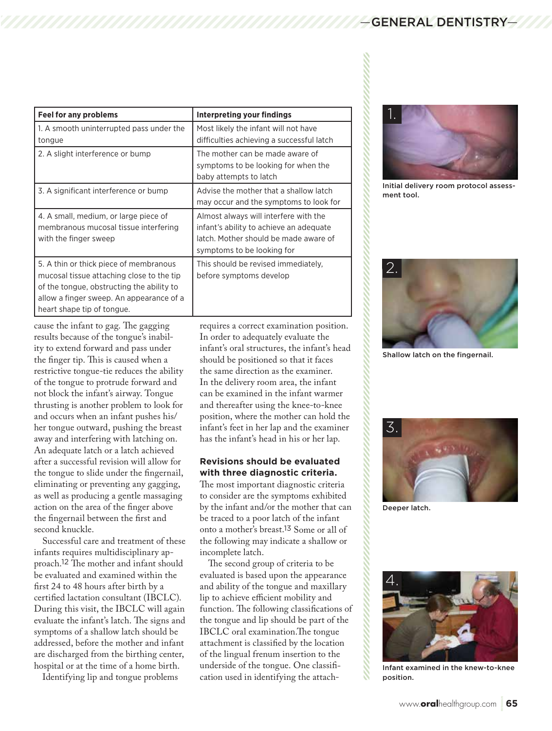| <b>Feel for any problems</b>                                                                                                                                                                               | Interpreting your findings                                                                                                                              |
|------------------------------------------------------------------------------------------------------------------------------------------------------------------------------------------------------------|---------------------------------------------------------------------------------------------------------------------------------------------------------|
| 1. A smooth uninterrupted pass under the<br>tongue                                                                                                                                                         | Most likely the infant will not have<br>difficulties achieving a successful latch                                                                       |
| 2. A slight interference or bump                                                                                                                                                                           | The mother can be made aware of<br>symptoms to be looking for when the<br>baby attempts to latch                                                        |
| 3. A significant interference or bump                                                                                                                                                                      | Advise the mother that a shallow latch<br>may occur and the symptoms to look for                                                                        |
| 4. A small, medium, or large piece of<br>membranous mucosal tissue interfering<br>with the finger sweep                                                                                                    | Almost always will interfere with the<br>infant's ability to achieve an adequate<br>latch. Mother should be made aware of<br>symptoms to be looking for |
| 5. A thin or thick piece of membranous<br>mucosal tissue attaching close to the tip<br>of the tongue, obstructing the ability to<br>allow a finger sweep. An appearance of a<br>heart shape tip of tongue. | This should be revised immediately.<br>before symptoms develop                                                                                          |

cause the infant to gag. The gagging results because of the tongue's inability to extend forward and pass under the finger tip. This is caused when a restrictive tongue-tie reduces the ability of the tongue to protrude forward and not block the infant's airway. Tongue thrusting is another problem to look for and occurs when an infant pushes his/ her tongue outward, pushing the breast away and interfering with latching on. An adequate latch or a latch achieved after a successful revision will allow for the tongue to slide under the fingernail, eliminating or preventing any gagging, as well as producing a gentle massaging action on the area of the finger above the fingernail between the first and second knuckle.

Successful care and treatment of these infants requires multidisciplinary approach.12 The mother and infant should be evaluated and examined within the first 24 to 48 hours after birth by a certified lactation consultant (IBCLC). During this visit, the IBCLC will again evaluate the infant's latch. The signs and symptoms of a shallow latch should be addressed, before the mother and infant are discharged from the birthing center, hospital or at the time of a home birth.

Identifying lip and tongue problems

requires a correct examination position. In order to adequately evaluate the infant's oral structures, the infant's head should be positioned so that it faces the same direction as the examiner. In the delivery room area, the infant can be examined in the infant warmer and thereafter using the knee-to-knee position, where the mother can hold the infant's feet in her lap and the examiner has the infant's head in his or her lap.

# **Revisions should be evaluated with three diagnostic criteria.**

The most important diagnostic criteria to consider are the symptoms exhibited by the infant and/or the mother that can be traced to a poor latch of the infant onto a mother's breast.13 Some or all of the following may indicate a shallow or incomplete latch.

The second group of criteria to be evaluated is based upon the appearance and ability of the tongue and maxillary lip to achieve efficient mobility and function. The following classifications of the tongue and lip should be part of the IBCLC oral examination.The tongue attachment is classified by the location of the lingual frenum insertion to the underside of the tongue. One classification used in identifying the attach-



Initial delivery room protocol assessment tool.



Shallow latch on the fingernail.



Deeper latch.



Infant examined in the knew-to-knee position.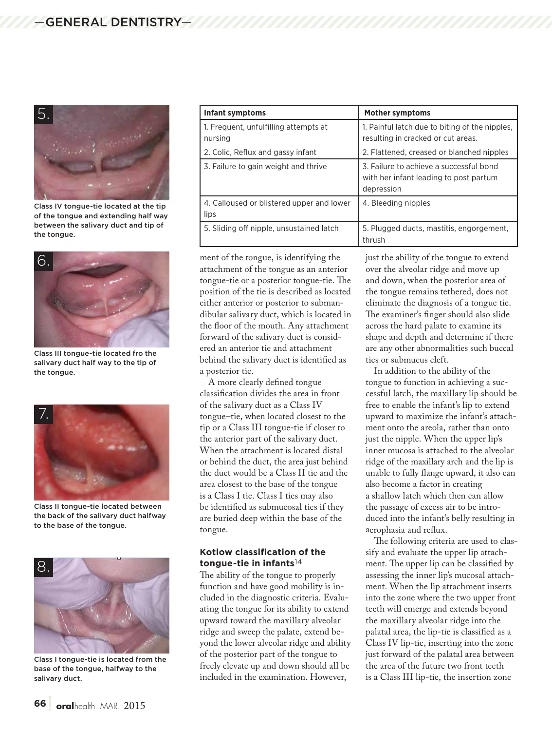

Class IV tongue-tie located at the tip of the tongue and extending half way between the salivary duct and tip of the tongue.



Class III tongue-tie located fro the salivary duct half way to the tip of the tongue.



Class II tongue-tie located between the back of the salivary duct halfway to the base of the tongue.



Class I tongue-tie is located from the base of the tongue, halfway to the salivary duct.

| <b>Infant symptoms</b>                            | <b>Mother symptoms</b>                                                                          |
|---------------------------------------------------|-------------------------------------------------------------------------------------------------|
| 1. Frequent, unfulfilling attempts at<br>nursing  | 1. Painful latch due to biting of the nipples,<br>resulting in cracked or cut areas.            |
| 2. Colic, Reflux and gassy infant                 | 2. Flattened, creased or blanched nipples                                                       |
| 3. Failure to gain weight and thrive              | 3. Failure to achieve a successful bond<br>with her infant leading to post partum<br>depression |
| 4. Calloused or blistered upper and lower<br>lips | 4. Bleeding nipples                                                                             |
| 5. Sliding off nipple, unsustained latch          | 5. Plugged ducts, mastitis, engorgement,<br>thrush                                              |

ment of the tongue, is identifying the attachment of the tongue as an anterior tongue-tie or a posterior tongue-tie. The position of the tie is described as located either anterior or posterior to submandibular salivary duct, which is located in the floor of the mouth. Any attachment forward of the salivary duct is considered an anterior tie and attachment behind the salivary duct is identified as a posterior tie.

A more clearly defined tongue classification divides the area in front of the salivary duct as a Class IV tongue–tie, when located closest to the tip or a Class III tongue-tie if closer to the anterior part of the salivary duct. When the attachment is located distal or behind the duct, the area just behind the duct would be a Class II tie and the area closest to the base of the tongue is a Class I tie. Class I ties may also be identified as submucosal ties if they are buried deep within the base of the tongue.

### **Kotlow classification of the tongue-tie in infants**14

The ability of the tongue to properly function and have good mobility is included in the diagnostic criteria. Evaluating the tongue for its ability to extend upward toward the maxillary alveolar ridge and sweep the palate, extend beyond the lower alveolar ridge and ability of the posterior part of the tongue to freely elevate up and down should all be included in the examination. However,

just the ability of the tongue to extend over the alveolar ridge and move up and down, when the posterior area of the tongue remains tethered, does not eliminate the diagnosis of a tongue tie. The examiner's finger should also slide across the hard palate to examine its shape and depth and determine if there are any other abnormalities such buccal ties or submucus cleft.

In addition to the ability of the tongue to function in achieving a successful latch, the maxillary lip should be free to enable the infant's lip to extend upward to maximize the infant's attachment onto the areola, rather than onto just the nipple. When the upper lip's inner mucosa is attached to the alveolar ridge of the maxillary arch and the lip is unable to fully flange upward, it also can also become a factor in creating a shallow latch which then can allow the passage of excess air to be introduced into the infant's belly resulting in aerophasia and reflux.

The following criteria are used to classify and evaluate the upper lip attachment. The upper lip can be classified by assessing the inner lip's mucosal attachment. When the lip attachment inserts into the zone where the two upper front teeth will emerge and extends beyond the maxillary alveolar ridge into the palatal area, the lip-tie is classified as a Class IV lip-tie, inserting into the zone just forward of the palatal area between the area of the future two front teeth is a Class III lip-tie, the insertion zone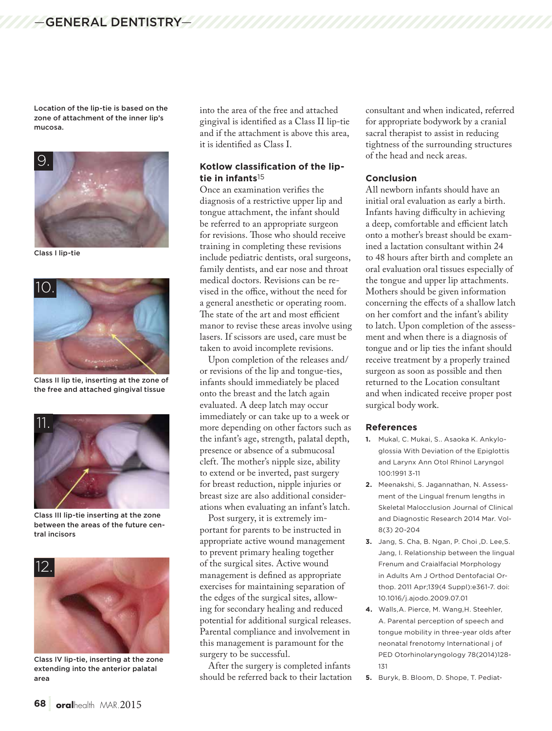Location of the lip-tie is based on the zone of attachment of the inner lip's mucosa.



Class I lip-tie



Class II lip tie, inserting at the zone of the free and attached gingival tissue



Class III lip-tie inserting at the zone between the areas of the future central incisors



Class IV lip-tie, inserting at the zone extending into the anterior palatal area

into the area of the free and attached gingival is identified as a Class II lip-tie and if the attachment is above this area, it is identified as Class I.

## **Kotlow classification of the liptie in infants**15

Once an examination verifies the diagnosis of a restrictive upper lip and tongue attachment, the infant should be referred to an appropriate surgeon for revisions. Those who should receive training in completing these revisions include pediatric dentists, oral surgeons, family dentists, and ear nose and throat medical doctors. Revisions can be revised in the office, without the need for a general anesthetic or operating room. The state of the art and most efficient manor to revise these areas involve using lasers. If scissors are used, care must be taken to avoid incomplete revisions.

Upon completion of the releases and/ or revisions of the lip and tongue-ties, infants should immediately be placed onto the breast and the latch again evaluated. A deep latch may occur immediately or can take up to a week or more depending on other factors such as the infant's age, strength, palatal depth, presence or absence of a submucosal cleft. The mother's nipple size, ability to extend or be inverted, past surgery for breast reduction, nipple injuries or breast size are also additional considerations when evaluating an infant's latch.

Post surgery, it is extremely important for parents to be instructed in appropriate active wound management to prevent primary healing together of the surgical sites. Active wound management is defined as appropriate exercises for maintaining separation of the edges of the surgical sites, allowing for secondary healing and reduced potential for additional surgical releases. Parental compliance and involvement in this management is paramount for the surgery to be successful.

After the surgery is completed infants should be referred back to their lactation consultant and when indicated, referred for appropriate bodywork by a cranial sacral therapist to assist in reducing tightness of the surrounding structures of the head and neck areas.

#### **Conclusion**

All newborn infants should have an initial oral evaluation as early a birth. Infants having difficulty in achieving a deep, comfortable and efficient latch onto a mother's breast should be examined a lactation consultant within 24 to 48 hours after birth and complete an oral evaluation oral tissues especially of the tongue and upper lip attachments. Mothers should be given information concerning the effects of a shallow latch on her comfort and the infant's ability to latch. Upon completion of the assessment and when there is a diagnosis of tongue and or lip ties the infant should receive treatment by a properly trained surgeon as soon as possible and then returned to the Location consultant and when indicated receive proper post surgical body work.

#### **References**

- **1.** Mukal, C. Mukai, S.. Asaoka K. Ankyloglossia With Deviation of the Epiglottis and Larynx Ann Otol Rhinol Laryngol 100:1991 3-11
- **2.** Meenakshi, S. Jagannathan, N. Assessment of the Lingual frenum lengths in Skeletal Malocclusion Journal of Clinical and Diagnostic Research 2014 Mar. Vol-8(3) 20-204
- **3.** Jang, S. Cha, B. Ngan, P. Choi ,D. Lee,S. Jang, I. Relationship between the lingual Frenum and Craialfacial Morphology in Adults Am J Orthod Dentofacial Orthop. 2011 Apr;139(4 Suppl):e361-7. doi: 10.1016/j.ajodo.2009.07.01
- **4.** Walls,A. Pierce, M. Wang,H. Steehler, A. Parental perception of speech and tongue mobility in three-year olds after neonatal frenotomy International j of PED Otorhinolaryngology 78(2014)128- 131

**<sup>5.</sup>** Buryk, B. Bloom, D. Shope, T. Pediat-